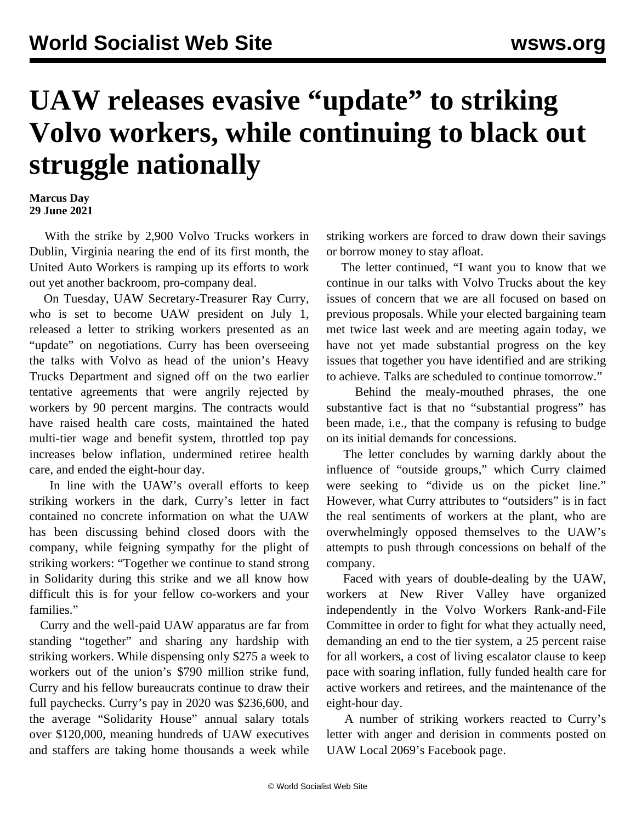## **UAW releases evasive "update" to striking Volvo workers, while continuing to black out struggle nationally**

## **Marcus Day 29 June 2021**

 With the strike by 2,900 Volvo Trucks workers in Dublin, Virginia nearing the end of its first month, the United Auto Workers is ramping up its efforts to work out yet another backroom, pro-company deal.

 On Tuesday, UAW Secretary-Treasurer Ray Curry, who is set to become UAW president on July 1, released a letter to striking workers presented as an "update" on negotiations. Curry has been overseeing the talks with Volvo as head of the union's Heavy Trucks Department and signed off on the two earlier tentative agreements that were angrily rejected by workers by 90 percent margins. The contracts would have raised health care costs, maintained the hated multi-tier wage and benefit system, throttled top pay increases below inflation, undermined retiree health care, and ended the eight-hour day.

 In line with the UAW's overall efforts to keep striking workers in the dark, Curry's letter in fact contained no concrete information on what the UAW has been discussing behind closed doors with the company, while feigning sympathy for the plight of striking workers: "Together we continue to stand strong in Solidarity during this strike and we all know how difficult this is for your fellow co-workers and your families."

 Curry and the well-paid UAW apparatus are far from standing "together" and sharing any hardship with striking workers. While dispensing only \$275 a week to workers out of the union's \$790 million strike fund, Curry and his fellow bureaucrats continue to draw their full paychecks. Curry's pay in 2020 was \$236,600, and the average "Solidarity House" annual salary totals over \$120,000, meaning hundreds of UAW executives and staffers are taking home thousands a week while

striking workers are forced to draw down their savings or borrow money to stay afloat.

 The letter continued, "I want you to know that we continue in our talks with Volvo Trucks about the key issues of concern that we are all focused on based on previous proposals. While your elected bargaining team met twice last week and are meeting again today, we have not yet made substantial progress on the key issues that together you have identified and are striking to achieve. Talks are scheduled to continue tomorrow."

 Behind the mealy-mouthed phrases, the one substantive fact is that no "substantial progress" has been made, i.e., that the company is refusing to budge on its initial demands for concessions.

 The letter concludes by warning darkly about the influence of "outside groups," which Curry claimed were seeking to "divide us on the picket line." However, what Curry attributes to "outsiders" is in fact the real sentiments of workers at the plant, who are overwhelmingly opposed themselves to the UAW's attempts to push through concessions on behalf of the company.

 Faced with years of double-dealing by the UAW, workers at New River Valley have organized independently in the Volvo Workers Rank-and-File Committee in order to fight for what they actually need, demanding an end to the tier system, a 25 percent raise for all workers, a cost of living escalator clause to keep pace with soaring inflation, fully funded health care for active workers and retirees, and the maintenance of the eight-hour day.

 A number of striking workers reacted to Curry's letter with anger and derision in comments posted on UAW Local 2069's Facebook page.